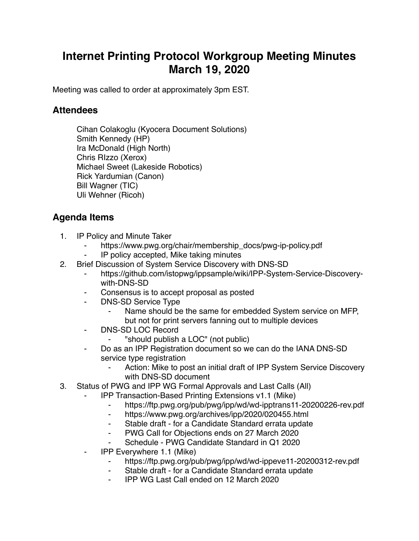## **Internet Printing Protocol Workgroup Meeting Minutes March 19, 2020**

Meeting was called to order at approximately 3pm EST.

## **Attendees**

Cihan Colakoglu (Kyocera Document Solutions) Smith Kennedy (HP) Ira McDonald (High North) Chris RIzzo (Xerox) Michael Sweet (Lakeside Robotics) Rick Yardumian (Canon) Bill Wagner (TIC) Uli Wehner (Ricoh)

## **Agenda Items**

- 1. IP Policy and Minute Taker
	- https://www.pwg.org/chair/membership\_docs/pwg-ip-policy.pdf
	- ⁃ IP policy accepted, Mike taking minutes
- 2. Brief Discussion of System Service Discovery with DNS-SD
	- https://github.com/istopwg/ippsample/wiki/IPP-System-Service-Discoverywith-DNS-SD
	- Consensus is to accept proposal as posted
		- DNS-SD Service Type
			- Name should be the same for embedded System service on MFP, but not for print servers fanning out to multiple devices
	- ⁃ DNS-SD LOC Record
		- ⁃ "should publish a LOC" (not public)
	- Do as an IPP Registration document so we can do the IANA DNS-SD service type registration
		- Action: Mike to post an initial draft of IPP System Service Discovery with DNS-SD document
- 3. Status of PWG and IPP WG Formal Approvals and Last Calls (All)
	- ⁃ IPP Transaction-Based Printing Extensions v1.1 (Mike)
		- ⁃ https://ftp.pwg.org/pub/pwg/ipp/wd/wd-ipptrans11-20200226-rev.pdf
		- ⁃ https://www.pwg.org/archives/ipp/2020/020455.html
		- ⁃ Stable draft for a Candidate Standard errata update
		- ⁃ PWG Call for Objections ends on 27 March 2020
		- Schedule PWG Candidate Standard in Q1 2020
	- ⁃ IPP Everywhere 1.1 (Mike)
		- https://ftp.pwg.org/pub/pwg/ipp/wd/wd-ippeve11-20200312-rev.pdf
		- ⁃ Stable draft for a Candidate Standard errata update
		- ⁃ IPP WG Last Call ended on 12 March 2020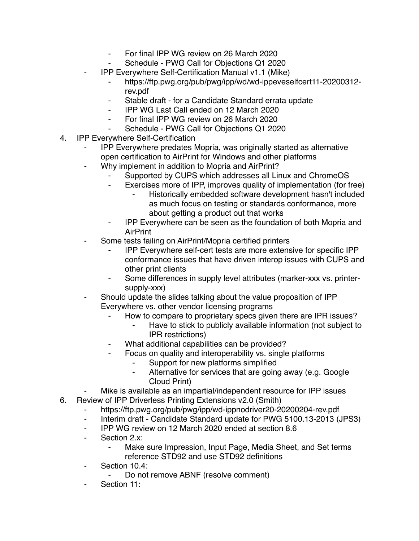- For final IPP WG review on 26 March 2020
- Schedule PWG Call for Objections Q1 2020
- ⁃ IPP Everywhere Self-Certification Manual v1.1 (Mike)
	- ⁃ https://ftp.pwg.org/pub/pwg/ipp/wd/wd-ippeveselfcert11-20200312 rev.pdf
	- Stable draft for a Candidate Standard errata update
	- ⁃ IPP WG Last Call ended on 12 March 2020
	- ⁃ For final IPP WG review on 26 March 2020
	- Schedule PWG Call for Objections Q1 2020
- 4. IPP Everywhere Self-Certification
	- ⁃ IPP Everywhere predates Mopria, was originally started as alternative open certification to AirPrint for Windows and other platforms
	- Why implement in addition to Mopria and AirPrint?
		- Supported by CUPS which addresses all Linux and ChromeOS
		- Exercises more of IPP, improves quality of implementation (for free)
			- Historically embedded software development hasn't included as much focus on testing or standards conformance, more about getting a product out that works
		- ⁃ IPP Everywhere can be seen as the foundation of both Mopria and AirPrint
	- Some tests failing on AirPrint/Mopria certified printers
		- ⁃ IPP Everywhere self-cert tests are more extensive for specific IPP conformance issues that have driven interop issues with CUPS and other print clients
		- Some differences in supply level attributes (marker-xxx vs. printersupply-xxx)
	- Should update the slides talking about the value proposition of IPP Everywhere vs. other vendor licensing programs
		- How to compare to proprietary specs given there are IPR issues?
			- Have to stick to publicly available information (not subject to IPR restrictions)
		- What additional capabilities can be provided?
		- Focus on quality and interoperability vs. single platforms
			- ⁃ Support for new platforms simplified
			- ⁃ Alternative for services that are going away (e.g. Google Cloud Print)
	- Mike is available as an impartial/independent resource for IPP issues
- 6. Review of IPP Driverless Printing Extensions v2.0 (Smith)
	- ⁃ https://ftp.pwg.org/pub/pwg/ipp/wd-ippnodriver20-20200204-rev.pdf
	- ⁃ Interim draft Candidate Standard update for PWG 5100.13-2013 (JPS3)
	- ⁃ IPP WG review on 12 March 2020 ended at section 8.6
	- ⁃ Section 2.x:
		- Make sure Impression, Input Page, Media Sheet, and Set terms reference STD92 and use STD92 definitions
	- ⁃ Section 10.4:
		- Do not remove ABNF (resolve comment)
	- Section 11: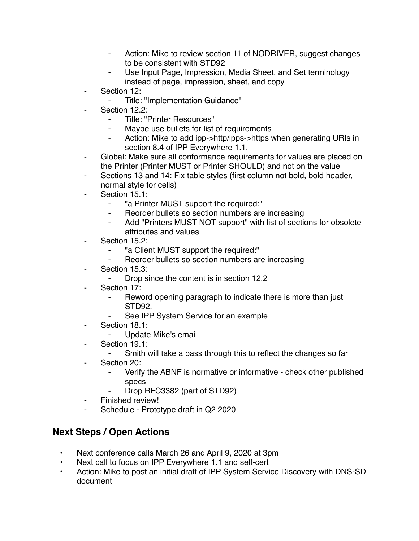- Action: Mike to review section 11 of NODRIVER, suggest changes to be consistent with STD92
- Use Input Page, Impression, Media Sheet, and Set terminology instead of page, impression, sheet, and copy
- ⁃ Section 12:
	- ⁃ Title: "Implementation Guidance"
- Section 12.2:
	- ⁃ Title: "Printer Resources"
	- Maybe use bullets for list of requirements
	- Action: Mike to add ipp->http/ipps->https when generating URIs in section 8.4 of IPP Everywhere 1.1.
- Global: Make sure all conformance requirements for values are placed on the Printer (Printer MUST or Printer SHOULD) and not on the value
- Sections 13 and 14: Fix table styles (first column not bold, bold header, normal style for cells)
- Section 15.1:
	- ⁃ "a Printer MUST support the required:"
	- Reorder bullets so section numbers are increasing
	- Add "Printers MUST NOT support" with list of sections for obsolete attributes and values
- Section 15.2:
	- ⁃ "a Client MUST support the required:"
	- Reorder bullets so section numbers are increasing
- Section 15.3:
	- ⁃ Drop since the content is in section 12.2
- Section 17:
	- ⁃ Reword opening paragraph to indicate there is more than just STD92.
	- See IPP System Service for an example
- Section 18.1:
	- ⁃ Update Mike's email
- ⁃ Section 19.1:
	- Smith will take a pass through this to reflect the changes so far
- Section 20:
	- ⁃ Verify the ABNF is normative or informative check other published specs
	- Drop RFC3382 (part of STD92)
- Finished review!
- ⁃ Schedule Prototype draft in Q2 2020

## **Next Steps / Open Actions**

- Next conference calls March 26 and April 9, 2020 at 3pm
- Next call to focus on IPP Everywhere 1.1 and self-cert
- Action: Mike to post an initial draft of IPP System Service Discovery with DNS-SD document